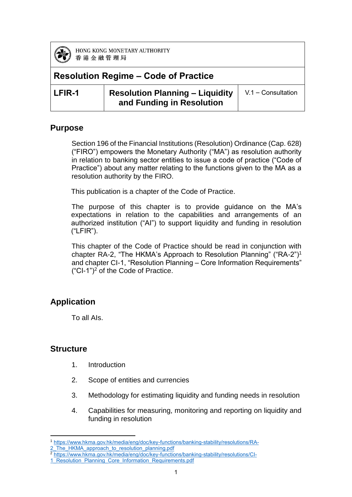

# **Resolution Regime – Code of Practice**

| LFIR-1 | <b>Resolution Planning - Liquidity</b> $ V.1 -$ Consultation |  |
|--------|--------------------------------------------------------------|--|
|        | and Funding in Resolution                                    |  |

#### **Purpose**

Section 196 of the Financial Institutions (Resolution) Ordinance (Cap. 628) ("FIRO") empowers the Monetary Authority ("MA") as resolution authority in relation to banking sector entities to issue a code of practice ("Code of Practice") about any matter relating to the functions given to the MA as a resolution authority by the FIRO.

This publication is a chapter of the Code of Practice.

The purpose of this chapter is to provide guidance on the MA's expectations in relation to the capabilities and arrangements of an authorized institution ("AI") to support liquidity and funding in resolution ("LFIR").

This chapter of the Code of Practice should be read in conjunction with chapter RA-2, "The HKMA's Approach to Resolution Planning" ("RA-2")<sup>1</sup> and chapter CI-1, "Resolution Planning – Core Information Requirements"  $("Cl-1")^2$  of the Code of Practice.

### **Application**

To all AIs.

### **Structure**

- 1. Introduction
- 2. Scope of entities and currencies
- 3. Methodology for estimating liquidity and funding needs in resolution
- 4. Capabilities for measuring, monitoring and reporting on liquidity and funding in resolution

**<sup>.</sup>** <sup>1</sup> [https://www.hkma.gov.hk/media/eng/doc/key-functions/banking-stability/resolutions/RA-](https://www.hkma.gov.hk/media/eng/doc/key-functions/banking-stability/resolutions/RA-2_The_HKMA_approach_to_resolution_planning.pdf)2 The HKMA approach to resolution planning.pdf

<sup>2</sup> [https://www.hkma.gov.hk/media/eng/doc/key-functions/banking-stability/resolutions/CI-](https://www.hkma.gov.hk/media/eng/doc/key-functions/banking-stability/resolutions/CI-1_Resolution_Planning_Core_Information_Requirements.pdf)

<sup>1</sup> Resolution Planning Core Information Requirements.pdf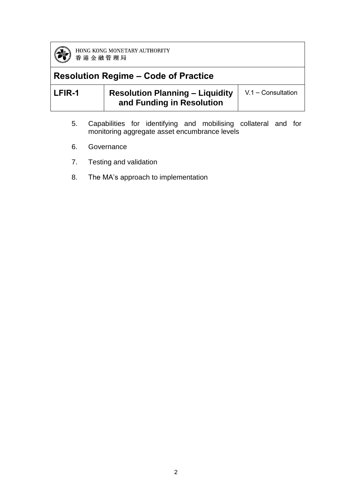

# **Resolution Regime – Code of Practice**

| LFIR-1 | <b>Resolution Planning – Liquidity</b> | $V.1 -$ Consultation |
|--------|----------------------------------------|----------------------|
|        | and Funding in Resolution              |                      |

- 5. Capabilities for identifying and mobilising collateral and for monitoring aggregate asset encumbrance levels
- 6. Governance
- 7. Testing and validation
- 8. The MA's approach to implementation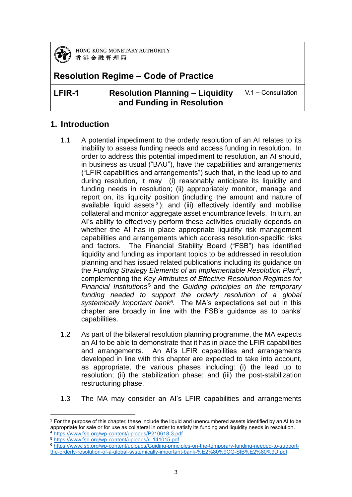

### **Resolution Regime – Code of Practice**

**LFIR-1 Resolution Planning – Liquidity and Funding in Resolution**

V.1 – Consultation

#### **1. Introduction**

- 1.1 A potential impediment to the orderly resolution of an AI relates to its inability to assess funding needs and access funding in resolution. In order to address this potential impediment to resolution, an AI should, in business as usual ("BAU"), have the capabilities and arrangements ("LFIR capabilities and arrangements") such that, in the lead up to and during resolution, it may (i) reasonably anticipate its liquidity and funding needs in resolution; (ii) appropriately monitor, manage and report on, its liquidity position (including the amount and nature of available liquid assets<sup>3</sup>); and (iii) effectively identify and mobilise collateral and monitor aggregate asset encumbrance levels. In turn, an AI's ability to effectively perform these activities crucially depends on whether the AI has in place appropriate liquidity risk management capabilities and arrangements which address resolution-specific risks and factors. The Financial Stability Board ("FSB") has identified liquidity and funding as important topics to be addressed in resolution planning and has issued related publications including its guidance on the *Funding Strategy Elements of an Implementable Resolution Plan*<sup>4</sup> , complementing the *Key Attributes of Effective Resolution Regimes for Financial Institutions<sup>5</sup> and the Guiding principles on the temporary funding needed to support the orderly resolution of a global systemically important bank<sup>6</sup> .* The MA's expectations set out in this chapter are broadly in line with the FSB's guidance as to banks' capabilities.
- 1.2 As part of the bilateral resolution planning programme, the MA expects an AI to be able to demonstrate that it has in place the LFIR capabilities and arrangements. An AI's LFIR capabilities and arrangements developed in line with this chapter are expected to take into account, as appropriate, the various phases including: (i) the lead up to resolution; (ii) the stabilization phase; and (iii) the post-stabilization restructuring phase.
- 1.3 The MA may consider an AI's LFIR capabilities and arrangements

**<sup>.</sup>**  $3$  For the purpose of this chapter, these include the liquid and unencumbered assets identified by an AI to be appropriate for sale or for use as collateral in order to satisfy its funding and liquidity needs in resolution. <sup>4</sup> <https://www.fsb.org/wp-content/uploads/P210618-3.pdf>

<sup>5</sup> [https://www.fsb.org/wp-content/uploads/r\\_141015.pdf](https://www.fsb.org/wp-content/uploads/r_141015.pdf)

<sup>6</sup> [https://www.fsb.org/wp-content/uploads/Guiding-principles-on-the-temporary-funding-needed-to-support](https://www.fsb.org/wp-content/uploads/Guiding-principles-on-the-temporary-funding-needed-to-support-the-orderly-resolution-of-a-global-systemically-important-bank-%E2%80%9CG-SIB%E2%80%9D.pdf)[the-orderly-resolution-of-a-global-systemically-important-bank-%E2%80%9CG-SIB%E2%80%9D.pdf](https://www.fsb.org/wp-content/uploads/Guiding-principles-on-the-temporary-funding-needed-to-support-the-orderly-resolution-of-a-global-systemically-important-bank-%E2%80%9CG-SIB%E2%80%9D.pdf)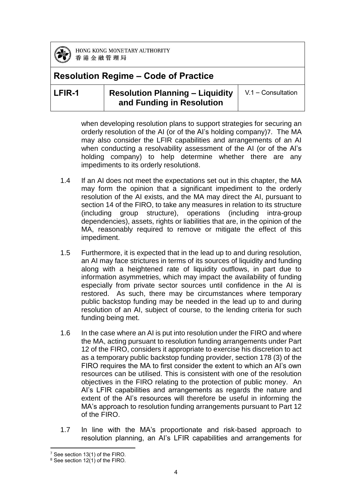

### **Resolution Regime – Code of Practice**

### **LFIR-1 Resolution Planning – Liquidity and Funding in Resolution**

V.1 – Consultation

when developing resolution plans to support strategies for securing an orderly resolution of the AI (or of the AI's holding company)7. The MA may also consider the LFIR capabilities and arrangements of an AI when conducting a resolvability assessment of the AI (or of the AI's holding company) to help determine whether there are any impediments to its orderly resolution8.

- 1.4 If an AI does not meet the expectations set out in this chapter, the MA may form the opinion that a significant impediment to the orderly resolution of the AI exists, and the MA may direct the AI, pursuant to section 14 of the FIRO, to take any measures in relation to its structure (including group structure), operations (including intra-group dependencies), assets, rights or liabilities that are, in the opinion of the MA, reasonably required to remove or mitigate the effect of this impediment.
- 1.5 Furthermore, it is expected that in the lead up to and during resolution, an AI may face strictures in terms of its sources of liquidity and funding along with a heightened rate of liquidity outflows, in part due to information asymmetries, which may impact the availability of funding especially from private sector sources until confidence in the AI is restored. As such, there may be circumstances where temporary public backstop funding may be needed in the lead up to and during resolution of an AI, subject of course, to the lending criteria for such funding being met.
- 1.6 In the case where an AI is put into resolution under the FIRO and where the MA, acting pursuant to resolution funding arrangements under Part 12 of the FIRO, considers it appropriate to exercise his discretion to act as a temporary public backstop funding provider, section 178 (3) of the FIRO requires the MA to first consider the extent to which an AI's own resources can be utilised. This is consistent with one of the resolution objectives in the FIRO relating to the protection of public money. An AI's LFIR capabilities and arrangements as regards the nature and extent of the AI's resources will therefore be useful in informing the MA's approach to resolution funding arrangements pursuant to Part 12 of the FIRO.
- 1.7 In line with the MA's proportionate and risk-based approach to resolution planning, an AI's LFIR capabilities and arrangements for

**<sup>.</sup>** <sup>7</sup> See section 13(1) of the FIRO.

<sup>8</sup> See section 12(1) of the FIRO.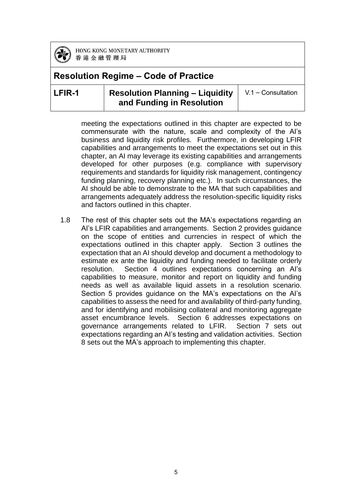

### **Resolution Regime – Code of Practice**

#### **LFIR-1 Resolution Planning – Liquidity and Funding in Resolution**

V.1 – Consultation

meeting the expectations outlined in this chapter are expected to be commensurate with the nature, scale and complexity of the AI's business and liquidity risk profiles. Furthermore, in developing LFIR capabilities and arrangements to meet the expectations set out in this chapter, an AI may leverage its existing capabilities and arrangements developed for other purposes (e.g. compliance with supervisory requirements and standards for liquidity risk management, contingency funding planning, recovery planning etc.). In such circumstances, the AI should be able to demonstrate to the MA that such capabilities and arrangements adequately address the resolution-specific liquidity risks and factors outlined in this chapter.

1.8 The rest of this chapter sets out the MA's expectations regarding an AI's LFIR capabilities and arrangements. Section 2 provides guidance on the scope of entities and currencies in respect of which the expectations outlined in this chapter apply. Section 3 outlines the expectation that an AI should develop and document a methodology to estimate ex ante the liquidity and funding needed to facilitate orderly resolution. Section 4 outlines expectations concerning an AI's capabilities to measure, monitor and report on liquidity and funding needs as well as available liquid assets in a resolution scenario. Section 5 provides guidance on the MA's expectations on the AI's capabilities to assess the need for and availability of third-party funding, and for identifying and mobilising collateral and monitoring aggregate asset encumbrance levels. Section 6 addresses expectations on governance arrangements related to LFIR. Section 7 sets out expectations regarding an AI's testing and validation activities. Section 8 sets out the MA's approach to implementing this chapter.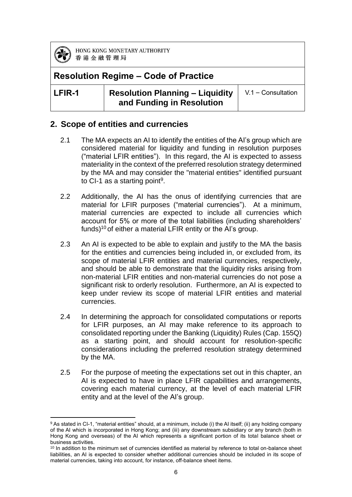

### **Resolution Regime – Code of Practice**

#### **LFIR-1 Resolution Planning – Liquidity and Funding in Resolution**

V.1 – Consultation

#### **2. Scope of entities and currencies**

- 2.1 The MA expects an AI to identify the entities of the AI's group which are considered material for liquidity and funding in resolution purposes ("material LFIR entities"). In this regard, the AI is expected to assess materiality in the context of the preferred resolution strategy determined by the MA and may consider the "material entities" identified pursuant to CI-1 as a starting point<sup>9</sup>.
- 2.2 Additionally, the AI has the onus of identifying currencies that are material for LFIR purposes ("material currencies"). At a minimum, material currencies are expected to include all currencies which account for 5% or more of the total liabilities (including shareholders' funds)<sup>10</sup> of either a material LFIR entity or the AI's group.
- 2.3 An AI is expected to be able to explain and justify to the MA the basis for the entities and currencies being included in, or excluded from, its scope of material LFIR entities and material currencies, respectively, and should be able to demonstrate that the liquidity risks arising from non-material LFIR entities and non-material currencies do not pose a significant risk to orderly resolution. Furthermore, an AI is expected to keep under review its scope of material LFIR entities and material currencies.
- 2.4 In determining the approach for consolidated computations or reports for LFIR purposes, an AI may make reference to its approach to consolidated reporting under the Banking (Liquidity) Rules (Cap. 155Q) as a starting point, and should account for resolution-specific considerations including the preferred resolution strategy determined by the MA.
- 2.5 For the purpose of meeting the expectations set out in this chapter, an AI is expected to have in place LFIR capabilities and arrangements, covering each material currency, at the level of each material LFIR entity and at the level of the AI's group.

**<sup>.</sup>** 9 As stated in CI-1, "material entities" should, at a minimum, include (i) the AI itself; (ii) any holding company of the AI which is incorporated in Hong Kong; and (iii) any downstream subsidiary or any branch (both in Hong Kong and overseas) of the AI which represents a significant portion of its total balance sheet or business activities.

<sup>&</sup>lt;sup>10</sup> In addition to the minimum set of currencies identified as material by reference to total on-balance sheet liabilities, an AI is expected to consider whether additional currencies should be included in its scope of material currencies, taking into account, for instance, off-balance sheet items.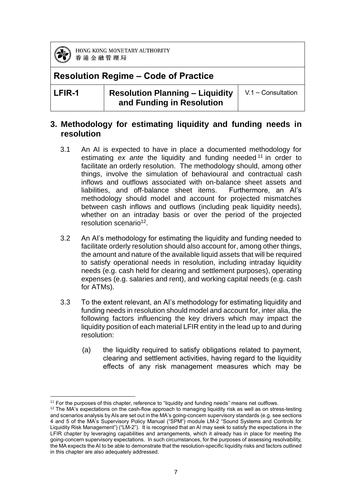

### **Resolution Regime – Code of Practice**

**LFIR-1 Resolution Planning – Liquidity and Funding in Resolution**

V.1 – Consultation

#### **3. Methodology for estimating liquidity and funding needs in resolution**

- 3.1 An AI is expected to have in place a documented methodology for estimating *ex ante* the liquidity and funding needed <sup>11</sup> in order to facilitate an orderly resolution. The methodology should, among other things, involve the simulation of behavioural and contractual cash inflows and outflows associated with on-balance sheet assets and liabilities, and off-balance sheet items. Furthermore, an AI's methodology should model and account for projected mismatches between cash inflows and outflows (including peak liquidity needs), whether on an intraday basis or over the period of the projected resolution scenario<sup>12</sup>.
- 3.2 An AI's methodology for estimating the liquidity and funding needed to facilitate orderly resolution should also account for, among other things, the amount and nature of the available liquid assets that will be required to satisfy operational needs in resolution, including intraday liquidity needs (e.g. cash held for clearing and settlement purposes), operating expenses (e.g. salaries and rent), and working capital needs (e.g. cash for ATMs).
- 3.3 To the extent relevant, an AI's methodology for estimating liquidity and funding needs in resolution should model and account for, inter alia, the following factors influencing the key drivers which may impact the liquidity position of each material LFIR entity in the lead up to and during resolution:
	- (a) the liquidity required to satisfy obligations related to payment, clearing and settlement activities, having regard to the liquidity effects of any risk management measures which may be

**<sup>.</sup>** <sup>11</sup> For the purposes of this chapter, reference to "liquidity and funding needs" means net outflows.

 $12$  The MA's expectations on the cash-flow approach to managing liquidity risk as well as on stress-testing and scenarios analysis by AIs are set out in the MA's going-concern supervisory standards (e.g. see sections 4 and 5 of the MA's Supervisory Policy Manual ("SPM") module LM-2 "Sound Systems and Controls for Liquidity Risk Management") ("LM-2"). It is recognised that an AI may seek to satisfy the expectations in the LFIR chapter by leveraging capabilities and arrangements, which it already has in place for meeting the going-concern supervisory expectations. In such circumstances, for the purposes of assessing resolvability, the MA expects the AI to be able to demonstrate that the resolution-specific liquidity risks and factors outlined in this chapter are also adequately addressed.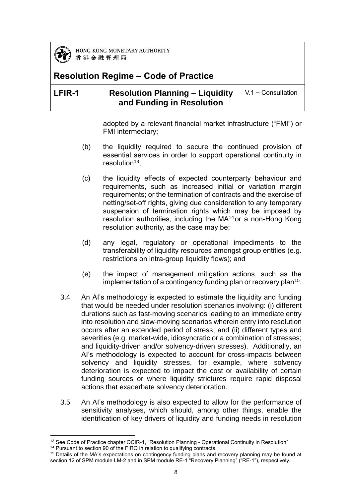

# **Resolution Regime – Code of Practice**

### **LFIR-1 Resolution Planning – Liquidity and Funding in Resolution**

V.1 – Consultation

adopted by a relevant financial market infrastructure ("FMI") or FMI intermediary;

- (b) the liquidity required to secure the continued provision of essential services in order to support operational continuity in resolution $13$ :
- (c) the liquidity effects of expected counterparty behaviour and requirements, such as increased initial or variation margin requirements; or the termination of contracts and the exercise of netting/set-off rights, giving due consideration to any temporary suspension of termination rights which may be imposed by resolution authorities, including the MA<sup>14</sup> or a non-Hong Kong resolution authority, as the case may be;
- (d) any legal, regulatory or operational impediments to the transferability of liquidity resources amongst group entities (e.g. restrictions on intra-group liquidity flows); and
- (e) the impact of management mitigation actions, such as the implementation of a contingency funding plan or recovery plan<sup>15</sup>.
- 3.4 An AI's methodology is expected to estimate the liquidity and funding that would be needed under resolution scenarios involving: (i) different durations such as fast-moving scenarios leading to an immediate entry into resolution and slow-moving scenarios wherein entry into resolution occurs after an extended period of stress; and (ii) different types and severities (e.g. market-wide, idiosyncratic or a combination of stresses; and liquidity-driven and/or solvency-driven stresses). Additionally, an AI's methodology is expected to account for cross-impacts between solvency and liquidity stresses, for example, where solvency deterioration is expected to impact the cost or availability of certain funding sources or where liquidity strictures require rapid disposal actions that exacerbate solvency deterioration.
- 3.5 An AI's methodology is also expected to allow for the performance of sensitivity analyses, which should, among other things, enable the identification of key drivers of liquidity and funding needs in resolution

**<sup>.</sup>** <sup>13</sup> See Code of Practice chapter OCIR-1, "Resolution Planning - Operational Continuity in Resolution".

<sup>&</sup>lt;sup>14</sup> Pursuant to section 90 of the FIRO in relation to qualifying contracts.

<sup>&</sup>lt;sup>15</sup> Details of the MA's expectations on contingency funding plans and recovery planning may be found at section 12 of SPM module LM-2 and in SPM module RE-1 "Recovery Planning" ("RE-1"), respectively.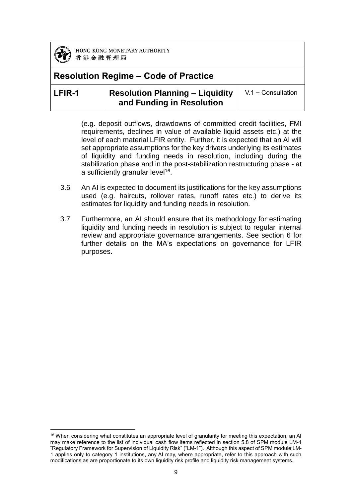

**.** 

HONG KONG MONETARY AUTHORITY 香港金融管理局

### **Resolution Regime – Code of Practice**

### **LFIR-1 Resolution Planning – Liquidity and Funding in Resolution**

V.1 – Consultation

(e.g. deposit outflows, drawdowns of committed credit facilities, FMI requirements, declines in value of available liquid assets etc.) at the level of each material LFIR entity. Further, it is expected that an AI will set appropriate assumptions for the key drivers underlying its estimates of liquidity and funding needs in resolution, including during the stabilization phase and in the post-stabilization restructuring phase - at a sufficiently granular level<sup>16</sup>.

- 3.6 An AI is expected to document its justifications for the key assumptions used (e.g. haircuts, rollover rates, runoff rates etc.) to derive its estimates for liquidity and funding needs in resolution.
- 3.7 Furthermore, an AI should ensure that its methodology for estimating liquidity and funding needs in resolution is subject to regular internal review and appropriate governance arrangements. See section 6 for further details on the MA's expectations on governance for LFIR purposes.

<sup>&</sup>lt;sup>16</sup> When considering what constitutes an appropriate level of granularity for meeting this expectation, an AI may make reference to the list of individual cash flow items reflected in section 5.8 of SPM module LM-1 "Regulatory Framework for Supervision of Liquidity Risk" ("LM-1"). Although this aspect of SPM module LM-1 applies only to category 1 institutions, any AI may, where appropriate, refer to this approach with such modifications as are proportionate to its own liquidity risk profile and liquidity risk management systems.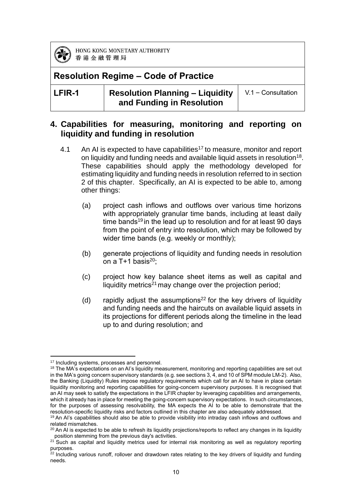

### **Resolution Regime – Code of Practice**

**LFIR-1 Resolution Planning – Liquidity and Funding in Resolution**

V.1 – Consultation

#### **4. Capabilities for measuring, monitoring and reporting on liquidity and funding in resolution**

- 4.1 An AI is expected to have capabilities<sup>17</sup> to measure, monitor and report on liquidity and funding needs and available liquid assets in resolution<sup>18</sup>. These capabilities should apply the methodology developed for estimating liquidity and funding needs in resolution referred to in section 2 of this chapter. Specifically, an AI is expected to be able to, among other things:
	- (a) project cash inflows and outflows over various time horizons with appropriately granular time bands, including at least daily time bands<sup>19</sup> in the lead up to resolution and for at least 90 days from the point of entry into resolution, which may be followed by wider time bands (e.g. weekly or monthly);
	- (b) generate projections of liquidity and funding needs in resolution on a T+1 basis $^{20}$ :
	- (c) project how key balance sheet items as well as capital and liquidity metrics<sup>21</sup> may change over the projection period;
	- (d) rapidly adjust the assumptions<sup>22</sup> for the key drivers of liquidity and funding needs and the haircuts on available liquid assets in its projections for different periods along the timeline in the lead up to and during resolution; and

**<sup>.</sup>** <sup>17</sup> Including systems, processes and personnel.

<sup>&</sup>lt;sup>18</sup> The MA's expectations on an AI's liquidity measurement, monitoring and reporting capabilities are set out in the MA's going concern supervisory standards (e.g. see sections 3, 4, and 10 of SPM module LM-2). Also, the Banking (Liquidity) Rules impose regulatory requirements which call for an AI to have in place certain liquidity monitoring and reporting capabilities for going-concern supervisory purposes. It is recognised that an AI may seek to satisfy the expectations in the LFIR chapter by leveraging capabilities and arrangements, which it already has in place for meeting the going-concern supervisory expectations. In such circumstances, for the purposes of assessing resolvability, the MA expects the AI to be able to demonstrate that the resolution-specific liquidity risks and factors outlined in this chapter are also adequately addressed.

<sup>&</sup>lt;sup>19</sup> An AI's capabilities should also be able to provide visibility into intraday cash inflows and outflows and related mismatches.

 $20$  An AI is expected to be able to refresh its liquidity projections/reports to reflect any changes in its liquidity position stemming from the previous day's activities.

 $21$  Such as capital and liquidity metrics used for internal risk monitoring as well as regulatory reporting purposes.

 $22$  Including various runoff, rollover and drawdown rates relating to the key drivers of liquidity and funding needs.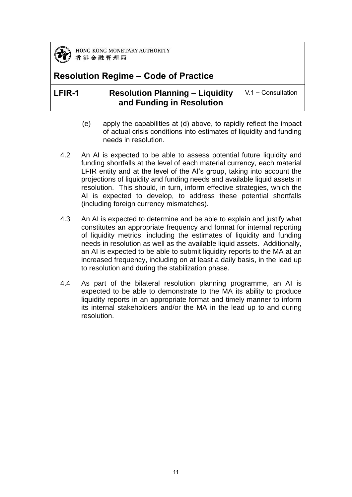

### **Resolution Regime – Code of Practice**

### **LFIR-1 Resolution Planning – Liquidity and Funding in Resolution**

V.1 – Consultation

- (e) apply the capabilities at (d) above, to rapidly reflect the impact of actual crisis conditions into estimates of liquidity and funding needs in resolution.
- 4.2 An AI is expected to be able to assess potential future liquidity and funding shortfalls at the level of each material currency, each material LFIR entity and at the level of the AI's group, taking into account the projections of liquidity and funding needs and available liquid assets in resolution. This should, in turn, inform effective strategies, which the AI is expected to develop, to address these potential shortfalls (including foreign currency mismatches).
- 4.3 An AI is expected to determine and be able to explain and justify what constitutes an appropriate frequency and format for internal reporting of liquidity metrics, including the estimates of liquidity and funding needs in resolution as well as the available liquid assets. Additionally, an AI is expected to be able to submit liquidity reports to the MA at an increased frequency, including on at least a daily basis, in the lead up to resolution and during the stabilization phase.
- 4.4 As part of the bilateral resolution planning programme, an AI is expected to be able to demonstrate to the MA its ability to produce liquidity reports in an appropriate format and timely manner to inform its internal stakeholders and/or the MA in the lead up to and during resolution.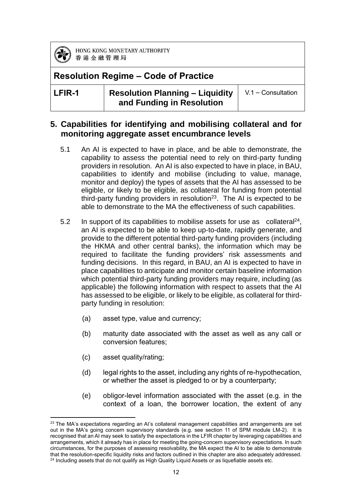

### **Resolution Regime – Code of Practice**

**LFIR-1 Resolution Planning – Liquidity and Funding in Resolution**

V.1 – Consultation

#### **5. Capabilities for identifying and mobilising collateral and for monitoring aggregate asset encumbrance levels**

- 5.1 An AI is expected to have in place, and be able to demonstrate, the capability to assess the potential need to rely on third-party funding providers in resolution. An AI is also expected to have in place, in BAU, capabilities to identify and mobilise (including to value, manage, monitor and deploy) the types of assets that the AI has assessed to be eligible, or likely to be eligible, as collateral for funding from potential third-party funding providers in resolution<sup>23</sup>. The AI is expected to be able to demonstrate to the MA the effectiveness of such capabilities.
- 5.2 In support of its capabilities to mobilise assets for use as collateral<sup>24</sup>, an AI is expected to be able to keep up-to-date, rapidly generate, and provide to the different potential third-party funding providers (including the HKMA and other central banks), the information which may be required to facilitate the funding providers' risk assessments and funding decisions. In this regard, in BAU, an AI is expected to have in place capabilities to anticipate and monitor certain baseline information which potential third-party funding providers may require, including (as applicable) the following information with respect to assets that the AI has assessed to be eligible, or likely to be eligible, as collateral for thirdparty funding in resolution:
	- (a) asset type, value and currency;
	- (b) maturity date associated with the asset as well as any call or conversion features;
	- (c) asset quality/rating;
	- (d) legal rights to the asset, including any rights of re-hypothecation, or whether the asset is pledged to or by a counterparty;
	- (e) obligor-level information associated with the asset (e.g. in the context of a loan, the borrower location, the extent of any

**<sup>.</sup>** <sup>23</sup> The MA's expectations regarding an AI's collateral management capabilities and arrangements are set out in the MA's going concern supervisory standards (e.g. see section 11 of SPM module LM-2). It is recognised that an AI may seek to satisfy the expectations in the LFIR chapter by leveraging capabilities and arrangements, which it already has in place for meeting the going-concern supervisory expectations. In such circumstances, for the purposes of assessing resolvability, the MA expect the AI to be able to demonstrate that the resolution-specific liquidity risks and factors outlined in this chapter are also adequately addressed.  $24$  Including assets that do not qualify as High Quality Liquid Assets or as liquefiable assets etc.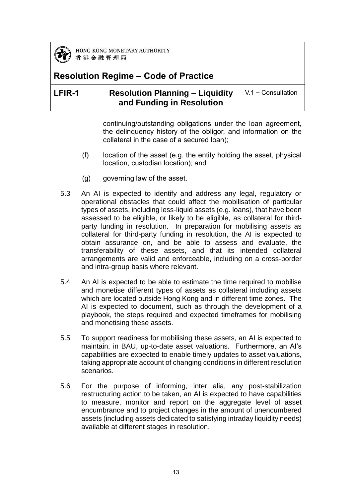

### **Resolution Regime – Code of Practice**

#### **LFIR-1 Resolution Planning – Liquidity and Funding in Resolution** V.1 – Consultation

continuing/outstanding obligations under the loan agreement, the delinquency history of the obligor, and information on the collateral in the case of a secured loan);

- (f) location of the asset (e.g. the entity holding the asset, physical location, custodian location); and
- (g) governing law of the asset.
- 5.3 An AI is expected to identify and address any legal, regulatory or operational obstacles that could affect the mobilisation of particular types of assets, including less-liquid assets (e.g. loans), that have been assessed to be eligible, or likely to be eligible, as collateral for thirdparty funding in resolution. In preparation for mobilising assets as collateral for third-party funding in resolution, the AI is expected to obtain assurance on, and be able to assess and evaluate, the transferability of these assets, and that its intended collateral arrangements are valid and enforceable, including on a cross-border and intra-group basis where relevant.
- 5.4 An AI is expected to be able to estimate the time required to mobilise and monetise different types of assets as collateral including assets which are located outside Hong Kong and in different time zones. The AI is expected to document, such as through the development of a playbook, the steps required and expected timeframes for mobilising and monetising these assets.
- 5.5 To support readiness for mobilising these assets, an AI is expected to maintain, in BAU, up-to-date asset valuations. Furthermore, an AI's capabilities are expected to enable timely updates to asset valuations, taking appropriate account of changing conditions in different resolution scenarios.
- 5.6 For the purpose of informing, inter alia, any post-stabilization restructuring action to be taken, an AI is expected to have capabilities to measure, monitor and report on the aggregate level of asset encumbrance and to project changes in the amount of unencumbered assets (including assets dedicated to satisfying intraday liquidity needs) available at different stages in resolution.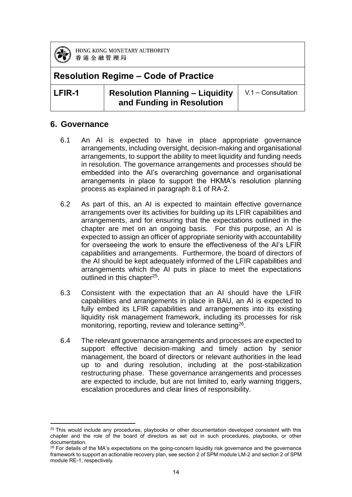

**.** 

HONG KONG MONETARY AUTHORITY 香港金融管理局

### **Resolution Regime – Code of Practice**

**LFIR-1 Resolution Planning – Liquidity and Funding in Resolution**

V.1 – Consultation

#### **6. Governance**

- 6.1 An AI is expected to have in place appropriate governance arrangements, including oversight, decision-making and organisational arrangements, to support the ability to meet liquidity and funding needs in resolution. The governance arrangements and processes should be embedded into the AI's overarching governance and organisational arrangements in place to support the HKMA's resolution planning process as explained in paragraph 8.1 of RA-2.
- 6.2 As part of this, an AI is expected to maintain effective governance arrangements over its activities for building up its LFIR capabilities and arrangements, and for ensuring that the expectations outlined in the chapter are met on an ongoing basis. For this purpose, an AI is expected to assign an officer of appropriate seniority with accountability for overseeing the work to ensure the effectiveness of the AI's LFIR capabilities and arrangements. Furthermore, the board of directors of the AI should be kept adequately informed of the LFIR capabilities and arrangements which the AI puts in place to meet the expectations outlined in this chapter<sup>25</sup>.
- 6.3 Consistent with the expectation that an AI should have the LFIR capabilities and arrangements in place in BAU, an AI is expected to fully embed its LFIR capabilities and arrangements into its existing liquidity risk management framework, including its processes for risk monitoring, reporting, review and tolerance setting<sup>26</sup>.
- 6.4 The relevant governance arrangements and processes are expected to support effective decision-making and timely action by senior management, the board of directors or relevant authorities in the lead up to and during resolution, including at the post-stabilization restructuring phase. These governance arrangements and processes are expected to include, but are not limited to, early warning triggers, escalation procedures and clear lines of responsibility.

 $25$  This would include any procedures, playbooks or other documentation developed consistent with this chapter and the role of the board of directors as set out in such procedures, playbooks, or other documentation.

 $26$  For details of the MA's expectations on the going-concern liquidity risk governance and the governance framework to support an actionable recovery plan, see section 2 of SPM module LM-2 and section 2 of SPM module RE-1, respectively.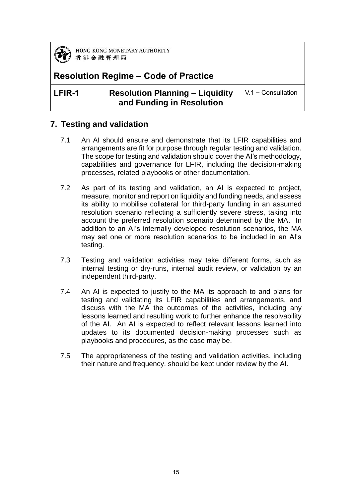

### **Resolution Regime – Code of Practice**

**LFIR-1 Resolution Planning – Liquidity and Funding in Resolution**

V.1 – Consultation

### **7. Testing and validation**

- 7.1 An AI should ensure and demonstrate that its LFIR capabilities and arrangements are fit for purpose through regular testing and validation. The scope for testing and validation should cover the AI's methodology, capabilities and governance for LFIR, including the decision-making processes, related playbooks or other documentation.
- 7.2 As part of its testing and validation, an AI is expected to project, measure, monitor and report on liquidity and funding needs, and assess its ability to mobilise collateral for third-party funding in an assumed resolution scenario reflecting a sufficiently severe stress, taking into account the preferred resolution scenario determined by the MA. In addition to an AI's internally developed resolution scenarios, the MA may set one or more resolution scenarios to be included in an AI's testing.
- 7.3 Testing and validation activities may take different forms, such as internal testing or dry-runs, internal audit review, or validation by an independent third-party.
- 7.4 An AI is expected to justify to the MA its approach to and plans for testing and validating its LFIR capabilities and arrangements, and discuss with the MA the outcomes of the activities, including any lessons learned and resulting work to further enhance the resolvability of the AI. An AI is expected to reflect relevant lessons learned into updates to its documented decision-making processes such as playbooks and procedures, as the case may be.
- 7.5 The appropriateness of the testing and validation activities, including their nature and frequency, should be kept under review by the AI.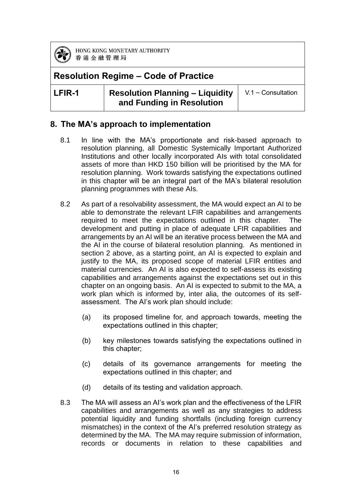

### **Resolution Regime – Code of Practice**

**LFIR-1 Resolution Planning – Liquidity and Funding in Resolution**

V.1 – Consultation

#### **8. The MA's approach to implementation**

- 8.1 In line with the MA's proportionate and risk-based approach to resolution planning, all Domestic Systemically Important Authorized Institutions and other locally incorporated AIs with total consolidated assets of more than HKD 150 billion will be prioritised by the MA for resolution planning. Work towards satisfying the expectations outlined in this chapter will be an integral part of the MA's bilateral resolution planning programmes with these AIs.
- 8.2 As part of a resolvability assessment, the MA would expect an AI to be able to demonstrate the relevant LFIR capabilities and arrangements required to meet the expectations outlined in this chapter. The development and putting in place of adequate LFIR capabilities and arrangements by an AI will be an iterative process between the MA and the AI in the course of bilateral resolution planning. As mentioned in section 2 above, as a starting point, an AI is expected to explain and justify to the MA, its proposed scope of material LFIR entities and material currencies. An AI is also expected to self-assess its existing capabilities and arrangements against the expectations set out in this chapter on an ongoing basis. An AI is expected to submit to the MA, a work plan which is informed by, inter alia, the outcomes of its selfassessment. The AI's work plan should include:
	- (a) its proposed timeline for, and approach towards, meeting the expectations outlined in this chapter;
	- (b) key milestones towards satisfying the expectations outlined in this chapter;
	- (c) details of its governance arrangements for meeting the expectations outlined in this chapter; and
	- (d) details of its testing and validation approach.
- 8.3 The MA will assess an AI's work plan and the effectiveness of the LFIR capabilities and arrangements as well as any strategies to address potential liquidity and funding shortfalls (including foreign currency mismatches) in the context of the AI's preferred resolution strategy as determined by the MA. The MA may require submission of information, records or documents in relation to these capabilities and